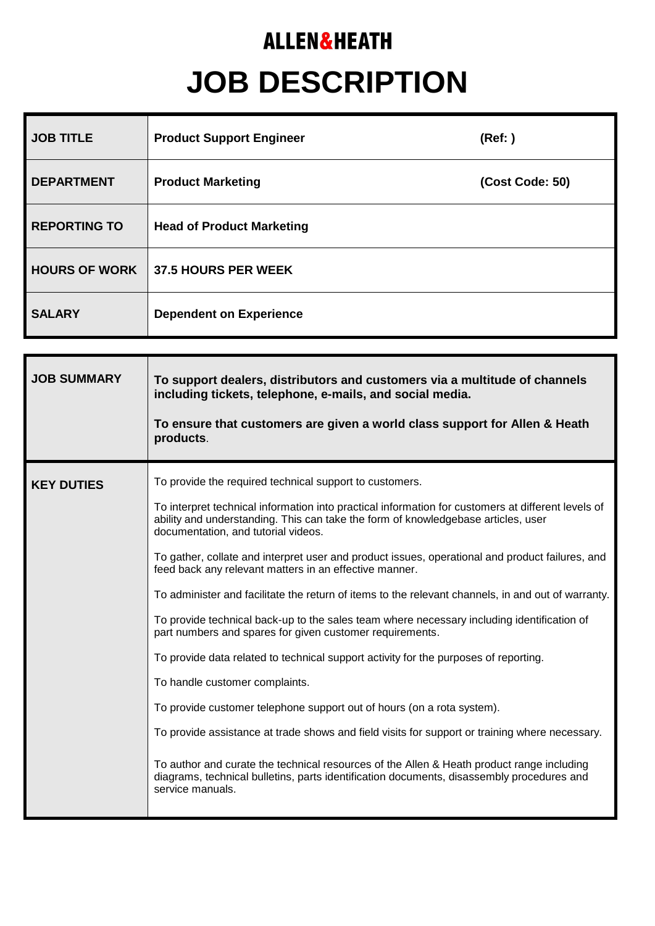## **ALLEN&HEATH JOB DESCRIPTION**

| <b>JOB TITLE</b>     | <b>Product Support Engineer</b>  | (Ref: )         |
|----------------------|----------------------------------|-----------------|
| <b>DEPARTMENT</b>    | <b>Product Marketing</b>         | (Cost Code: 50) |
| <b>REPORTING TO</b>  | <b>Head of Product Marketing</b> |                 |
| <b>HOURS OF WORK</b> | <b>37.5 HOURS PER WEEK</b>       |                 |
| <b>SALARY</b>        | <b>Dependent on Experience</b>   |                 |

| <b>JOB SUMMARY</b> | To support dealers, distributors and customers via a multitude of channels<br>including tickets, telephone, e-mails, and social media.<br>To ensure that customers are given a world class support for Allen & Heath<br>products.                                                                                                                                                                                                                                                                                                                                                                                                                                                                                                                                                                                                                                                                                                                                                                                                                                                                                                                                                                                                          |  |
|--------------------|--------------------------------------------------------------------------------------------------------------------------------------------------------------------------------------------------------------------------------------------------------------------------------------------------------------------------------------------------------------------------------------------------------------------------------------------------------------------------------------------------------------------------------------------------------------------------------------------------------------------------------------------------------------------------------------------------------------------------------------------------------------------------------------------------------------------------------------------------------------------------------------------------------------------------------------------------------------------------------------------------------------------------------------------------------------------------------------------------------------------------------------------------------------------------------------------------------------------------------------------|--|
| <b>KEY DUTIES</b>  | To provide the required technical support to customers.<br>To interpret technical information into practical information for customers at different levels of<br>ability and understanding. This can take the form of knowledgebase articles, user<br>documentation, and tutorial videos.<br>To gather, collate and interpret user and product issues, operational and product failures, and<br>feed back any relevant matters in an effective manner.<br>To administer and facilitate the return of items to the relevant channels, in and out of warranty.<br>To provide technical back-up to the sales team where necessary including identification of<br>part numbers and spares for given customer requirements.<br>To provide data related to technical support activity for the purposes of reporting.<br>To handle customer complaints.<br>To provide customer telephone support out of hours (on a rota system).<br>To provide assistance at trade shows and field visits for support or training where necessary.<br>To author and curate the technical resources of the Allen & Heath product range including<br>diagrams, technical bulletins, parts identification documents, disassembly procedures and<br>service manuals. |  |